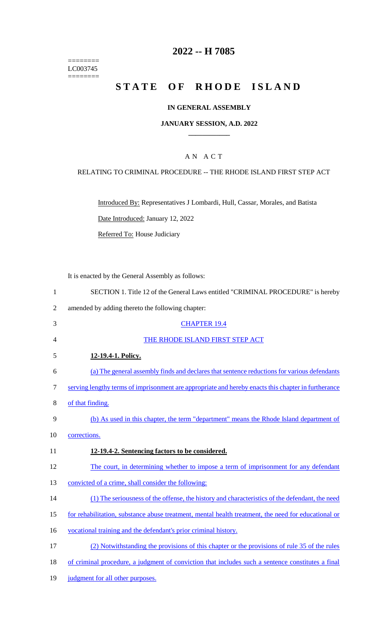======== LC003745 ========

## **2022 -- H 7085**

# **STATE OF RHODE ISLAND**

## **IN GENERAL ASSEMBLY**

### **JANUARY SESSION, A.D. 2022 \_\_\_\_\_\_\_\_\_\_\_\_**

## A N A C T

#### RELATING TO CRIMINAL PROCEDURE -- THE RHODE ISLAND FIRST STEP ACT

Introduced By: Representatives J Lombardi, Hull, Cassar, Morales, and Batista

Date Introduced: January 12, 2022

Referred To: House Judiciary

It is enacted by the General Assembly as follows:

- 1 SECTION 1. Title 12 of the General Laws entitled "CRIMINAL PROCEDURE" is hereby
- 2 amended by adding thereto the following chapter:
- 3 CHAPTER 19.4 4 THE RHODE ISLAND FIRST STEP ACT
- 5 **12-19.4-1. Policy.**
- 6 (a) The general assembly finds and declares that sentence reductions for various defendants 7 serving lengthy terms of imprisonment are appropriate and hereby enacts this chapter in furtherance
- 8 of that finding.
- 9 (b) As used in this chapter, the term "department" means the Rhode Island department of
- 10 corrections.
- 11 **12-19.4-2. Sentencing factors to be considered.**
- 12 The court, in determining whether to impose a term of imprisonment for any defendant
- 13 convicted of a crime, shall consider the following:
- 14 (1) The seriousness of the offense, the history and characteristics of the defendant, the need
- 15 for rehabilitation, substance abuse treatment, mental health treatment, the need for educational or
- 16 vocational training and the defendant's prior criminal history.
- 17 (2) Notwithstanding the provisions of this chapter or the provisions of rule 35 of the rules
- 18 of criminal procedure, a judgment of conviction that includes such a sentence constitutes a final
- 19 judgment for all other purposes.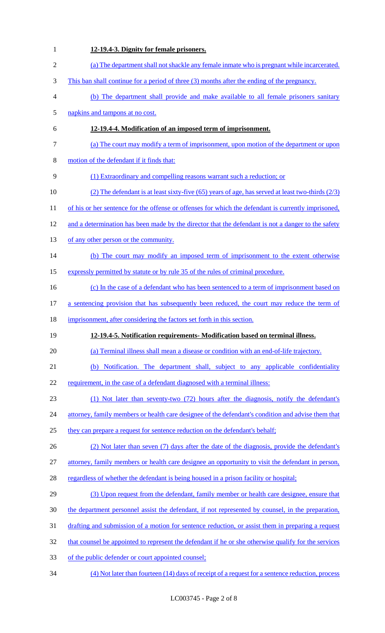| 1              | 12-19.4-3. Dignity for female prisoners.                                                             |
|----------------|------------------------------------------------------------------------------------------------------|
| $\mathfrak{2}$ | (a) The department shall not shackle any female inmate who is pregnant while incarcerated.           |
| 3              | This ban shall continue for a period of three (3) months after the ending of the pregnancy.          |
| 4              | (b) The department shall provide and make available to all female prisoners sanitary                 |
| 5              | napkins and tampons at no cost.                                                                      |
| 6              | 12-19.4-4. Modification of an imposed term of imprisonment.                                          |
| 7              | (a) The court may modify a term of imprisonment, upon motion of the department or upon               |
| $8\,$          | motion of the defendant if it finds that:                                                            |
| 9              | (1) Extraordinary and compelling reasons warrant such a reduction; or                                |
| 10             | (2) The defendant is at least sixty-five (65) years of age, has served at least two-thirds $(2/3)$   |
| 11             | of his or her sentence for the offense or offenses for which the defendant is currently imprisoned,  |
| 12             | and a determination has been made by the director that the defendant is not a danger to the safety   |
| 13             | of any other person or the community.                                                                |
| 14             | (b) The court may modify an imposed term of imprisonment to the extent otherwise                     |
| 15             | expressly permitted by statute or by rule 35 of the rules of criminal procedure.                     |
| 16             | (c) In the case of a defendant who has been sentenced to a term of imprisonment based on             |
| 17             | a sentencing provision that has subsequently been reduced, the court may reduce the term of          |
|                |                                                                                                      |
| 18             | imprisonment, after considering the factors set forth in this section.                               |
| 19             | 12-19.4-5. Notification requirements- Modification based on terminal illness.                        |
| 20             | (a) Terminal illness shall mean a disease or condition with an end-of-life trajectory.               |
| 21             | (b) Notification. The department shall, subject to any applicable confidentiality                    |
| 22             | requirement, in the case of a defendant diagnosed with a terminal illness:                           |
| 23             | (1) Not later than seventy-two (72) hours after the diagnosis, notify the defendant's                |
| 24             | attorney, family members or health care designee of the defendant's condition and advise them that   |
| 25             | they can prepare a request for sentence reduction on the defendant's behalf;                         |
| 26             | (2) Not later than seven (7) days after the date of the diagnosis, provide the defendant's           |
| 27             | attorney, family members or health care designee an opportunity to visit the defendant in person,    |
| 28             | regardless of whether the defendant is being housed in a prison facility or hospital;                |
| 29             | (3) Upon request from the defendant, family member or health care designee, ensure that              |
| 30             | the department personnel assist the defendant, if not represented by counsel, in the preparation,    |
| 31             | drafting and submission of a motion for sentence reduction, or assist them in preparing a request    |
| 32             | that counsel be appointed to represent the defendant if he or she otherwise qualify for the services |
| 33             | of the public defender or court appointed counsel;                                                   |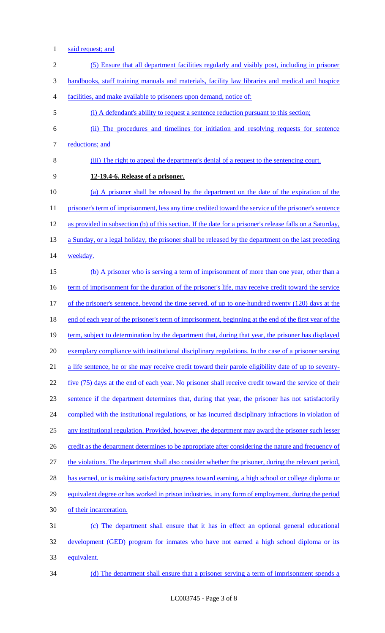- said request; and
- (5) Ensure that all department facilities regularly and visibly post, including in prisoner handbooks, staff training manuals and materials, facility law libraries and medical and hospice facilities, and make available to prisoners upon demand, notice of: (i) A defendant's ability to request a sentence reduction pursuant to this section; (ii) The procedures and timelines for initiation and resolving requests for sentence 7 reductions; and (iii) The right to appeal the department's denial of a request to the sentencing court. **12-19.4-6. Release of a prisoner.**  (a) A prisoner shall be released by the department on the date of the expiration of the 11 prisoner's term of imprisonment, less any time credited toward the service of the prisoner's sentence as provided in subsection (b) of this section. If the date for a prisoner's release falls on a Saturday, 13 a Sunday, or a legal holiday, the prisoner shall be released by the department on the last preceding 14 weekday. 15 (b) A prisoner who is serving a term of imprisonment of more than one year, other than a 16 term of imprisonment for the duration of the prisoner's life, may receive credit toward the service 17 of the prisoner's sentence, beyond the time served, of up to one-hundred twenty (120) days at the 18 end of each year of the prisoner's term of imprisonment, beginning at the end of the first year of the 19 term, subject to determination by the department that, during that year, the prisoner has displayed exemplary compliance with institutional disciplinary regulations. In the case of a prisoner serving a life sentence, he or she may receive credit toward their parole eligibility date of up to seventy- five (75) days at the end of each year. No prisoner shall receive credit toward the service of their sentence if the department determines that, during that year, the prisoner has not satisfactorily 24 complied with the institutional regulations, or has incurred disciplinary infractions in violation of any institutional regulation. Provided, however, the department may award the prisoner such lesser 26 credit as the department determines to be appropriate after considering the nature and frequency of the violations. The department shall also consider whether the prisoner, during the relevant period, 28 has earned, or is making satisfactory progress toward earning, a high school or college diploma or equivalent degree or has worked in prison industries, in any form of employment, during the period of their incarceration. (c) The department shall ensure that it has in effect an optional general educational development (GED) program for inmates who have not earned a high school diploma or its equivalent. (d) The department shall ensure that a prisoner serving a term of imprisonment spends a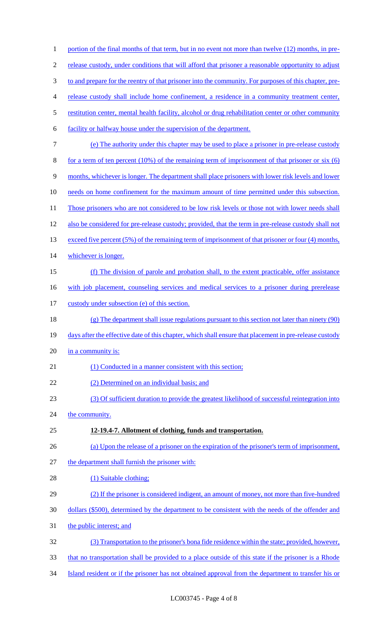| $\mathbf{1}$   | portion of the final months of that term, but in no event not more than twelve (12) months, in pre-     |
|----------------|---------------------------------------------------------------------------------------------------------|
| $\overline{c}$ | release custody, under conditions that will afford that prisoner a reasonable opportunity to adjust     |
| 3              | to and prepare for the reentry of that prisoner into the community. For purposes of this chapter, pre-  |
| $\overline{4}$ | release custody shall include home confinement, a residence in a community treatment center,            |
| 5              | restitution center, mental health facility, alcohol or drug rehabilitation center or other community    |
| 6              | facility or halfway house under the supervision of the department.                                      |
| $\tau$         | (e) The authority under this chapter may be used to place a prisoner in pre-release custody             |
| $8\,$          | for a term of ten percent $(10\%)$ of the remaining term of imprisonment of that prisoner or six $(6)$  |
| $\mathbf{9}$   | months, whichever is longer. The department shall place prisoners with lower risk levels and lower      |
| 10             | needs on home confinement for the maximum amount of time permitted under this subsection.               |
| 11             | Those prisoners who are not considered to be low risk levels or those not with lower needs shall        |
| 12             | also be considered for pre-release custody; provided, that the term in pre-release custody shall not    |
| 13             | exceed five percent (5%) of the remaining term of imprisonment of that prisoner or four (4) months,     |
| 14             | whichever is longer.                                                                                    |
| 15             | (f) The division of parole and probation shall, to the extent practicable, offer assistance             |
| 16             | with job placement, counseling services and medical services to a prisoner during prerelease            |
| 17             | custody under subsection (e) of this section.                                                           |
| 18             | (g) The department shall issue regulations pursuant to this section not later than ninety (90)          |
| 19             | days after the effective date of this chapter, which shall ensure that placement in pre-release custody |
| 20             | in a community is:                                                                                      |
| 21             | (1) Conducted in a manner consistent with this section;                                                 |
| 22             | (2) Determined on an individual basis; and                                                              |
| 23             | (3) Of sufficient duration to provide the greatest likelihood of successful reintegration into          |
| 24             | the community.                                                                                          |
| 25             | 12-19.4-7. Allotment of clothing, funds and transportation.                                             |
| 26             | (a) Upon the release of a prisoner on the expiration of the prisoner's term of imprisonment,            |
| 27             | the department shall furnish the prisoner with:                                                         |
| 28             | (1) Suitable clothing;                                                                                  |
| 29             | (2) If the prisoner is considered indigent, an amount of money, not more than five-hundred              |
| 30             | dollars (\$500), determined by the department to be consistent with the needs of the offender and       |
| 31             | the public interest; and                                                                                |
| 32             | (3) Transportation to the prisoner's bona fide residence within the state; provided, however,           |
| 33             | that no transportation shall be provided to a place outside of this state if the prisoner is a Rhode    |
| 34             | Island resident or if the prisoner has not obtained approval from the department to transfer his or     |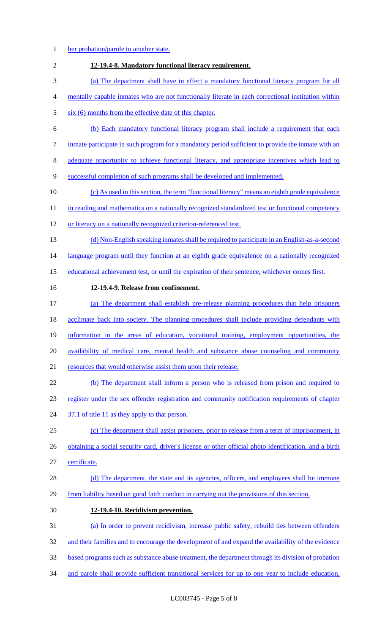1 her probation/parole to another state. **12-19.4-8. Mandatory functional literacy requirement.**  (a) The department shall have in effect a mandatory functional literacy program for all mentally capable inmates who are not functionally literate in each correctional institution within 5 six (6) months from the effective date of this chapter. (b) Each mandatory functional literacy program shall include a requirement that each 7 inmate participate in such program for a mandatory period sufficient to provide the inmate with an adequate opportunity to achieve functional literacy, and appropriate incentives which lead to successful completion of such programs shall be developed and implemented. (c) As used in this section, the term "functional literacy" means an eighth grade equivalence 11 in reading and mathematics on a nationally recognized standardized test or functional competency or literacy on a nationally recognized criterion-referenced test. (d) Non-English speaking inmates shall be required to participate in an English-as-a-second 14 language program until they function at an eighth grade equivalence on a nationally recognized educational achievement test, or until the expiration of their sentence, whichever comes first. **12-19.4-9. Release from confinement.**  (a) The department shall establish pre-release planning procedures that help prisoners 18 acclimate back into society. The planning procedures shall include providing defendants with information in the areas of education, vocational training, employment opportunities, the availability of medical care, mental health and substance abuse counseling and community 21 resources that would otherwise assist them upon their release. (b) The department shall inform a person who is released from prison and required to register under the sex offender registration and community notification requirements of chapter 24 37.1 of title 11 as they apply to that person. (c) The department shall assist prisoners, prior to release from a term of imprisonment, in 26 obtaining a social security card, driver's license or other official photo identification, and a birth certificate. 28 (d) The department, the state and its agencies, officers, and employees shall be immune from liability based on good faith conduct in carrying out the provisions of this section. **12-19.4-10. Recidivism prevention.**  (a) In order to prevent recidivism, increase public safety, rebuild ties between offenders 32 and their families and to encourage the development of and expand the availability of the evidence based programs such as substance abuse treatment, the department through its division of probation and parole shall provide sufficient transitional services for up to one year to include education,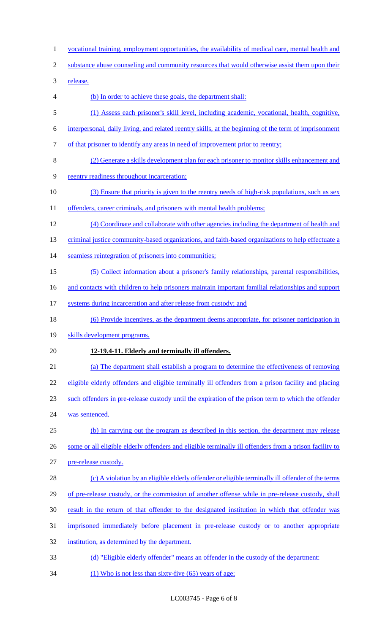- 1 vocational training, employment opportunities, the availability of medical care, mental health and
- 2 substance abuse counseling and community resources that would otherwise assist them upon their

3 release.

- 4 (b) In order to achieve these goals, the department shall:
- 5 (1) Assess each prisoner's skill level, including academic, vocational, health, cognitive,
- 6 interpersonal, daily living, and related reentry skills, at the beginning of the term of imprisonment
- 7 of that prisoner to identify any areas in need of improvement prior to reentry;
- 8 (2) Generate a skills development plan for each prisoner to monitor skills enhancement and
- 9 reentry readiness throughout incarceration;
- 10 (3) Ensure that priority is given to the reentry needs of high-risk populations, such as sex
- 11 offenders, career criminals, and prisoners with mental health problems;
- 12 (4) Coordinate and collaborate with other agencies including the department of health and
- 13 criminal justice community-based organizations, and faith-based organizations to help effectuate a
- 14 seamless reintegration of prisoners into communities;
- 15 (5) Collect information about a prisoner's family relationships, parental responsibilities,
- 16 and contacts with children to help prisoners maintain important familial relationships and support
- 17 systems during incarceration and after release from custody; and
- 18 (6) Provide incentives, as the department deems appropriate, for prisoner participation in
- 19 skills development programs.

## 20 **12-19.4-11. Elderly and terminally ill offenders.**

21 (a) The department shall establish a program to determine the effectiveness of removing

22 eligible elderly offenders and eligible terminally ill offenders from a prison facility and placing

- 23 such offenders in pre-release custody until the expiration of the prison term to which the offender
- 24 was sentenced.
- 25 (b) In carrying out the program as described in this section, the department may release 26 some or all eligible elderly offenders and eligible terminally ill offenders from a prison facility to
- 27 pre-release custody.
- 28 (c) A violation by an eligible elderly offender or eligible terminally ill offender of the terms
- 29 of pre-release custody, or the commission of another offense while in pre-release custody, shall
- 30 result in the return of that offender to the designated institution in which that offender was
- 31 imprisoned immediately before placement in pre-release custody or to another appropriate
- 32 institution, as determined by the department.
- 33 (d) "Eligible elderly offender" means an offender in the custody of the department:
- 34 (1) Who is not less than sixty-five (65) years of age;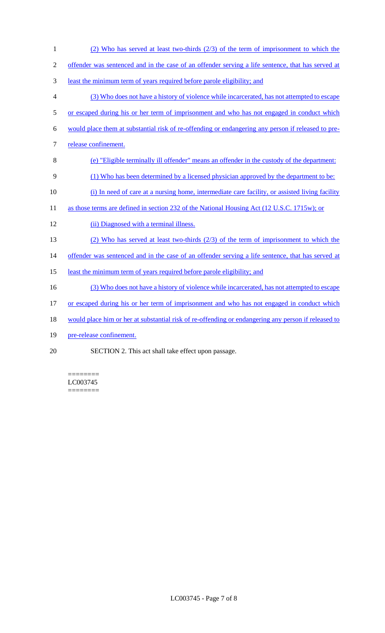1 (2) Who has served at least two-thirds (2/3) of the term of imprisonment to which the 2 offender was sentenced and in the case of an offender serving a life sentence, that has served at 3 least the minimum term of years required before parole eligibility; and 4 (3) Who does not have a history of violence while incarcerated, has not attempted to escape 5 or escaped during his or her term of imprisonment and who has not engaged in conduct which 6 would place them at substantial risk of re-offending or endangering any person if released to pre-7 release confinement. 8 (e) "Eligible terminally ill offender" means an offender in the custody of the department: 9 (1) Who has been determined by a licensed physician approved by the department to be: 10 (i) In need of care at a nursing home, intermediate care facility, or assisted living facility 11 as those terms are defined in section 232 of the National Housing Act (12 U.S.C. 1715w); or 12 (ii) Diagnosed with a terminal illness. 13 (2) Who has served at least two-thirds (2/3) of the term of imprisonment to which the 14 offender was sentenced and in the case of an offender serving a life sentence, that has served at 15 least the minimum term of years required before parole eligibility; and 16 (3) Who does not have a history of violence while incarcerated, has not attempted to escape 17 or escaped during his or her term of imprisonment and who has not engaged in conduct which 18 would place him or her at substantial risk of re-offending or endangering any person if released to 19 pre-release confinement. 20 SECTION 2. This act shall take effect upon passage.

======== LC003745 ========